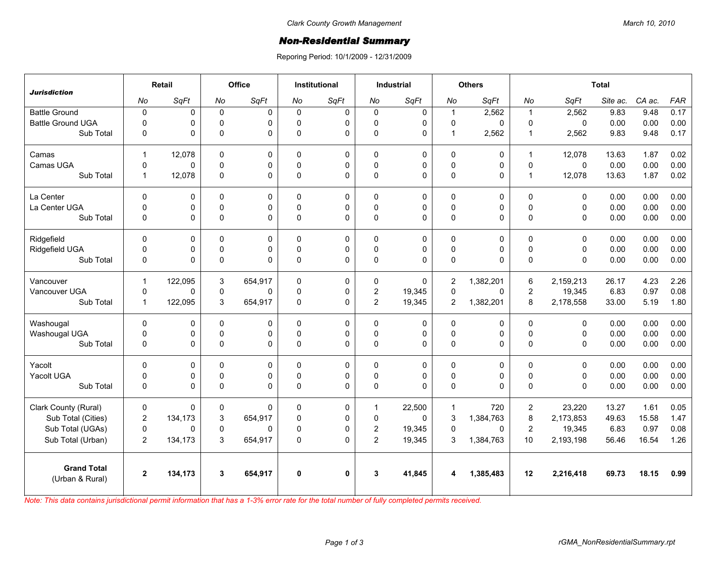## *Non-Residential Summary*

Reporing Period: 10/1/2009 - 12/31/2009

| <b>Jurisdiction</b>                   | Retail         |         | Office      |              | <b>Institutional</b> |           | <b>Industrial</b>       |             | <b>Others</b>  |           | <b>Total</b>   |             |          |        |            |
|---------------------------------------|----------------|---------|-------------|--------------|----------------------|-----------|-------------------------|-------------|----------------|-----------|----------------|-------------|----------|--------|------------|
|                                       | No             | SqFt    | No          | SqFt         | No                   | SqFt      | No                      | SqFt        | No             | SqFt      | No             | SqFt        | Site ac. | CA ac. | <b>FAR</b> |
| <b>Battle Ground</b>                  | $\pmb{0}$      | 0       | $\mathbf 0$ | $\mathbf 0$  | $\Omega$             | $\pmb{0}$ | $\mathbf 0$             | 0           | $\mathbf{1}$   | 2,562     | $\overline{1}$ | 2,562       | 9.83     | 9.48   | 0.17       |
| <b>Battle Ground UGA</b>              | $\mathbf 0$    | 0       | $\Omega$    | $\mathbf 0$  | $\Omega$             | 0         | 0                       | $\mathbf 0$ | $\mathbf 0$    | 0         | $\Omega$       | $\Omega$    | 0.00     | 0.00   | 0.00       |
| Sub Total                             | 0              | 0       | 0           | $\Omega$     | $\Omega$             | 0         | 0                       | $\Omega$    | $\mathbf{1}$   | 2,562     | $\mathbf{1}$   | 2,562       | 9.83     | 9.48   | 0.17       |
| Camas                                 | $\mathbf{1}$   | 12,078  | $\Omega$    | $\Omega$     | $\Omega$             | 0         | $\Omega$                | $\mathbf 0$ | $\Omega$       | $\Omega$  | $\overline{1}$ | 12,078      | 13.63    | 1.87   | 0.02       |
| Camas UGA                             | $\mathbf 0$    | 0       | 0           | $\mathbf 0$  | $\Omega$             | 0         | 0                       | $\pmb{0}$   | $\pmb{0}$      | 0         | $\mathbf 0$    | $\mathbf 0$ | 0.00     | 0.00   | 0.00       |
| Sub Total                             | $\mathbf{1}$   | 12,078  | 0           | $\Omega$     | $\Omega$             | $\Omega$  | $\Omega$                | $\Omega$    | $\pmb{0}$      | $\Omega$  | $\overline{1}$ | 12,078      | 13.63    | 1.87   | 0.02       |
| La Center                             | $\Omega$       | 0       | $\Omega$    | $\mathbf 0$  | $\Omega$             | 0         | $\Omega$                | $\Omega$    | 0              | 0         | $\Omega$       | $\Omega$    | 0.00     | 0.00   | 0.00       |
| La Center UGA                         | $\mathbf 0$    | 0       | 0           | $\mathbf 0$  | $\Omega$             | 0         | 0                       | $\mathbf 0$ | $\mathbf 0$    | 0         | $\Omega$       | $\mathbf 0$ | 0.00     | 0.00   | 0.00       |
| Sub Total                             | $\mathbf 0$    | 0       | 0           | $\Omega$     | $\Omega$             | 0         | 0                       | $\mathbf 0$ | 0              | 0         | 0              | 0           | 0.00     | 0.00   | 0.00       |
| Ridgefield                            | $\Omega$       | 0       | 0           | $\mathbf 0$  | $\Omega$             | 0         | $\Omega$                | $\mathbf 0$ | 0              | 0         | $\Omega$       | $\Omega$    | 0.00     | 0.00   | 0.00       |
| Ridgefield UGA                        | $\mathbf 0$    | 0       | 0           | 0            | $\Omega$             | 0         | 0                       | $\mathbf 0$ | $\pmb{0}$      | 0         | $\Omega$       | $\Omega$    | 0.00     | 0.00   | 0.00       |
| Sub Total                             | $\mathbf 0$    | 0       | 0           | $\Omega$     | $\Omega$             | 0         | $\mathbf 0$             | $\Omega$    | $\mathbf 0$    | 0         | $\Omega$       | $\Omega$    | 0.00     | 0.00   | 0.00       |
| Vancouver                             | $\mathbf{1}$   | 122,095 | 3           | 654,917      | $\Omega$             | 0         | 0                       | $\Omega$    | $\overline{2}$ | 1,382,201 | 6              | 2,159,213   | 26.17    | 4.23   | 2.26       |
| Vancouver UGA                         | $\mathbf 0$    | 0       | 0           | $\mathbf 0$  | $\Omega$             | 0         | $\overline{\mathbf{c}}$ | 19,345      | $\mathbf 0$    | 0         | $\overline{2}$ | 19,345      | 6.83     | 0.97   | 0.08       |
| Sub Total                             | $\mathbf{1}$   | 122,095 | 3           | 654,917      | $\Omega$             | $\Omega$  | $\overline{2}$          | 19,345      | $\overline{2}$ | 1,382,201 | 8              | 2,178,558   | 33.00    | 5.19   | 1.80       |
| Washougal                             | $\Omega$       | 0       | $\Omega$    | $\Omega$     | $\Omega$             | 0         | $\Omega$                | 0           | $\Omega$       | $\Omega$  | $\Omega$       | $\Omega$    | 0.00     | 0.00   | 0.00       |
| Washougal UGA                         | $\mathbf 0$    | 0       | 0           | 0            | $\Omega$             | 0         | 0                       | $\mathbf 0$ | $\mathbf 0$    | 0         | $\Omega$       | 0           | 0.00     | 0.00   | 0.00       |
| Sub Total                             | $\Omega$       | 0       | $\Omega$    | $\Omega$     | $\Omega$             | 0         | $\Omega$                | $\Omega$    | 0              | 0         | $\Omega$       | $\Omega$    | 0.00     | 0.00   | 0.00       |
| Yacolt                                | $\mathbf 0$    | 0       | 0           | $\pmb{0}$    | $\Omega$             | 0         | 0                       | $\mathbf 0$ | 0              | 0         | $\Omega$       | $\mathbf 0$ | 0.00     | 0.00   | 0.00       |
| Yacolt UGA                            | $\mathbf 0$    | 0       | $\Omega$    | $\mathbf 0$  | $\Omega$             | 0         | 0                       | $\mathbf 0$ | $\mathbf 0$    | 0         | $\Omega$       | $\mathbf 0$ | 0.00     | 0.00   | 0.00       |
| Sub Total                             | $\pmb{0}$      | 0       | 0           | $\Omega$     | $\Omega$             | 0         | 0                       | $\Omega$    | 0              | 0         | 0              | $\Omega$    | 0.00     | 0.00   | 0.00       |
| Clark County (Rural)                  | $\mathbf 0$    | 0       | 0           | $\Omega$     | $\Omega$             | 0         | $\mathbf{1}$            | 22,500      | $\mathbf{1}$   | 720       | $\overline{2}$ | 23,220      | 13.27    | 1.61   | 0.05       |
| Sub Total (Cities)                    | $\overline{2}$ | 134,173 | 3           | 654,917      | $\Omega$             | 0         | $\Omega$                | $\Omega$    | 3              | 1,384,763 | 8              | 2,173,853   | 49.63    | 15.58  | 1.47       |
| Sub Total (UGAs)                      | $\mathbf 0$    | 0       | 0           | $\mathbf{0}$ | $\Omega$             | 0         | $\overline{\mathbf{c}}$ | 19,345      | $\mathbf 0$    | 0         | $\overline{c}$ | 19,345      | 6.83     | 0.97   | 0.08       |
| Sub Total (Urban)                     | $\overline{2}$ | 134,173 | 3           | 654,917      | $\Omega$             | 0         | $\overline{2}$          | 19,345      | 3              | 1,384,763 | 10             | 2,193,198   | 56.46    | 16.54  | 1.26       |
| <b>Grand Total</b><br>(Urban & Rural) | $\mathbf{2}$   | 134,173 | 3           | 654,917      | $\bf{0}$             | 0         | 3                       | 41,845      | 4              | 1,385,483 | 12             | 2,216,418   | 69.73    | 18.15  | 0.99       |

*Note: This data contains jurisdictional permit information that has a 1-3% error rate for the total number of fully completed permits received.*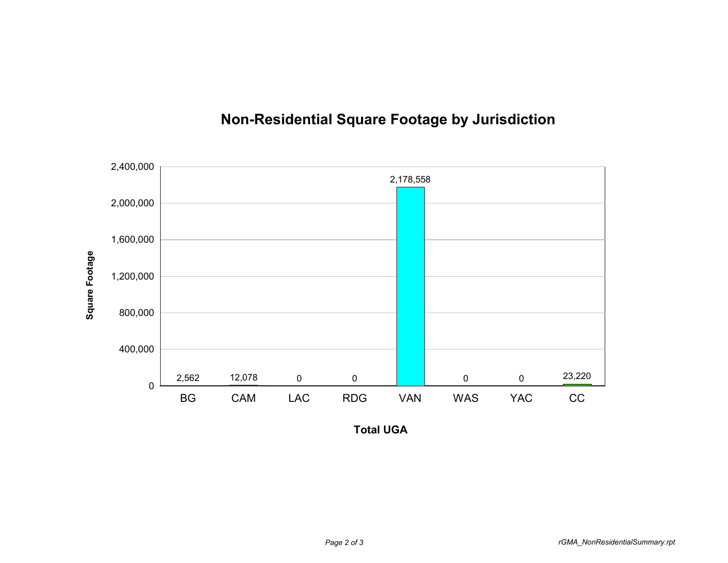

## **Non-Residential Square Footage by Jurisdiction**

**Total UGA**